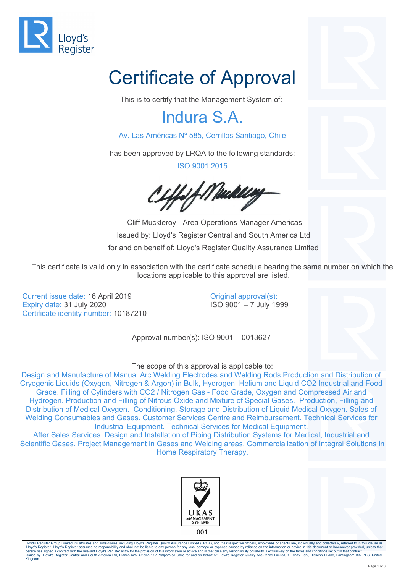

# Certificate of Approval

This is to certify that the Management System of:

#### Indura S.A.

Av. Las Américas Nº 585, Cerrillos Santiago, Chile

has been approved by LRQA to the following standards:

ISO 9001:2015

Y f Mackley

 Cliff Muckleroy - Area Operations Manager Americas Issued by: Lloyd's Register Central and South America Ltd for and on behalf of: Lloyd's Register Quality Assurance Limited

This certificate is valid only in association with the certificate schedule bearing the same number on which the locations applicable to this approval are listed.

Current issue date: 16 April 2019 Expiry date: 31 July 2020 Certificate identity number: 10187210

Original approval(s): ISO 9001 – 7 July 1999

Approval number(s): ISO 9001 – 0013627

#### The scope of this approval is applicable to:

Design and Manufacture of Manual Arc Welding Electrodes and Welding Rods.Production and Distribution of Cryogenic Liquids (Oxygen, Nitrogen & Argon) in Bulk, Hydrogen, Helium and Liquid CO2 Industrial and Food Grade. Filling of Cylinders with CO2 / Nitrogen Gas - Food Grade, Oxygen and Compressed Air and Hydrogen. Production and Filling of Nitrous Oxide and Mixture of Special Gases. Production, Filling and Distribution of Medical Oxygen. Conditioning, Storage and Distribution of Liquid Medical Oxygen. Sales of Welding Consumables and Gases. Customer Services Centre and Reimbursement. Technical Services for Industrial Equipment. Technical Services for Medical Equipment.

After Sales Services. Design and Installation of Piping Distribution Systems for Medical, Industrial and Scientific Gases. Project Management in Gases and Welding areas. Commercialization of Integral Solutions in Home Respiratory Therapy.





001

Lloyd's Register Group Limited, its affiliates and subsidiaries, including Lloyd's Register Quality Assurance Limited (LRQA), and their respective officers, employees or agents are, individually and collectively, referred 'Lloyd's Register'. Lloyd's Register assumes no responsibility and shall not be liable to any person for any loss, damage or expense caused by reliance on the information or advice in this document or howsoever provided, u Kingdom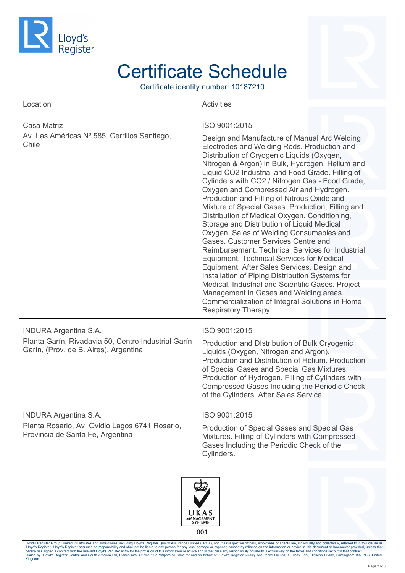

Certificate identity number: 10187210

| Location                                                                                                                     | <b>Activities</b>                                                                                                                                                                                                                                                                                                                                                                                                                                                                                                                          |
|------------------------------------------------------------------------------------------------------------------------------|--------------------------------------------------------------------------------------------------------------------------------------------------------------------------------------------------------------------------------------------------------------------------------------------------------------------------------------------------------------------------------------------------------------------------------------------------------------------------------------------------------------------------------------------|
| Casa Matriz<br>Av. Las Américas Nº 585, Cerrillos Santiago,                                                                  | ISO 9001:2015<br>Design and Manufacture of Manual Arc Welding                                                                                                                                                                                                                                                                                                                                                                                                                                                                              |
| Chile                                                                                                                        | Electrodes and Welding Rods. Production and<br>Distribution of Cryogenic Liquids (Oxygen,<br>Nitrogen & Argon) in Bulk, Hydrogen, Helium and<br>Liquid CO2 Industrial and Food Grade. Filling of                                                                                                                                                                                                                                                                                                                                           |
|                                                                                                                              | Cylinders with CO2 / Nitrogen Gas - Food Grade,<br>Oxygen and Compressed Air and Hydrogen.                                                                                                                                                                                                                                                                                                                                                                                                                                                 |
|                                                                                                                              | Production and Filling of Nitrous Oxide and<br>Mixture of Special Gases. Production, Filling and<br>Distribution of Medical Oxygen. Conditioning,<br>Storage and Distribution of Liquid Medical<br>Oxygen. Sales of Welding Consumables and<br>Gases. Customer Services Centre and<br>Reimbursement. Technical Services for Industrial<br>Equipment. Technical Services for Medical<br>Equipment. After Sales Services. Design and<br>Installation of Piping Distribution Systems for<br>Medical, Industrial and Scientific Gases. Project |
|                                                                                                                              | Management in Gases and Welding areas.<br>Commercialization of Integral Solutions in Home<br>Respiratory Therapy.                                                                                                                                                                                                                                                                                                                                                                                                                          |
| <b>INDURA Argentina S.A.</b><br>Planta Garín, Rivadavia 50, Centro Industrial Garín<br>Garín, (Prov. de B. Aires), Argentina | ISO 9001:2015<br>Production and Distribution of Bulk Cryogenic<br>Liquids (Oxygen, Nitrogen and Argon).<br>Production and Distribution of Helium. Production<br>of Special Gases and Special Gas Mixtures.<br>Production of Hydrogen. Filling of Cylinders with<br>Compressed Gases Including the Periodic Check<br>of the Cylinders. After Sales Service.                                                                                                                                                                                 |
| <b>INDURA Argentina S.A.</b><br>Planta Rosario, Av. Ovidio Lagos 6741 Rosario,<br>Provincia de Santa Fe, Argentina           | ISO 9001:2015<br>Production of Special Gases and Special Gas<br>Mixtures. Filling of Cylinders with Compressed<br>Gases Including the Periodic Check of the<br>Cylinders.                                                                                                                                                                                                                                                                                                                                                                  |





001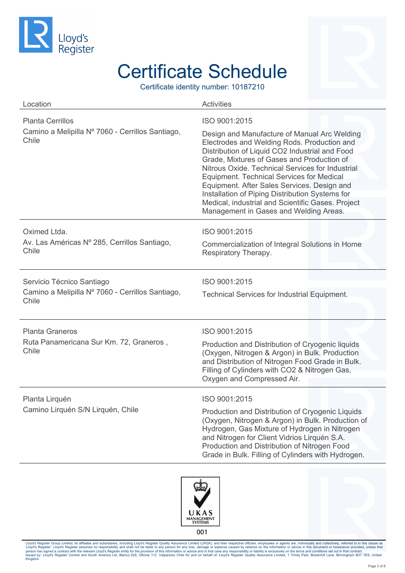

Certificate identity number: 10187210

| Location                                                                               | <b>Activities</b>                                                                                                                                                                                                                                                                                                                                                                                                                                                                                                     |
|----------------------------------------------------------------------------------------|-----------------------------------------------------------------------------------------------------------------------------------------------------------------------------------------------------------------------------------------------------------------------------------------------------------------------------------------------------------------------------------------------------------------------------------------------------------------------------------------------------------------------|
| <b>Planta Cerrillos</b><br>Camino a Melipilla Nº 7060 - Cerrillos Santiago,<br>Chile   | ISO 9001:2015<br>Design and Manufacture of Manual Arc Welding<br>Electrodes and Welding Rods. Production and<br>Distribution of Liquid CO2 Industrial and Food<br>Grade, Mixtures of Gases and Production of<br>Nitrous Oxide. Technical Services for Industrial<br><b>Equipment. Technical Services for Medical</b><br>Equipment. After Sales Services. Design and<br>Installation of Piping Distribution Systems for<br>Medical, industrial and Scientific Gases. Project<br>Management in Gases and Welding Areas. |
| Oximed Ltda.<br>Av. Las Américas Nº 285, Cerrillos Santiago,<br>Chile                  | ISO 9001:2015<br>Commercialization of Integral Solutions in Home<br>Respiratory Therapy.                                                                                                                                                                                                                                                                                                                                                                                                                              |
| Servicio Técnico Santiago<br>Camino a Melipilla Nº 7060 - Cerrillos Santiago,<br>Chile | ISO 9001:2015<br><b>Technical Services for Industrial Equipment.</b>                                                                                                                                                                                                                                                                                                                                                                                                                                                  |
| <b>Planta Graneros</b><br>Ruta Panamericana Sur Km. 72, Graneros,<br>Chile             | ISO 9001:2015<br>Production and Distribution of Cryogenic liquids<br>(Oxygen, Nitrogen & Argon) in Bulk. Production<br>and Distribution of Nitrogen Food Grade in Bulk.<br>Filling of Cylinders with CO2 & Nitrogen Gas,<br>Oxygen and Compressed Air.                                                                                                                                                                                                                                                                |
| Planta Lirquén<br>Camino Lirquén S/N Lirquén, Chile                                    | ISO 9001:2015<br>Production and Distribution of Cryogenic Liquids<br>(Oxygen, Nitrogen & Argon) in Bulk. Production of<br>Hydrogen, Gas Mixture of Hydrogen in Nitrogen<br>and Nitrogen for Client Vidrios Lirquén S.A.<br>Production and Distribution of Nitrogen Food<br>Grade in Bulk. Filling of Cylinders with Hydrogen.                                                                                                                                                                                         |





001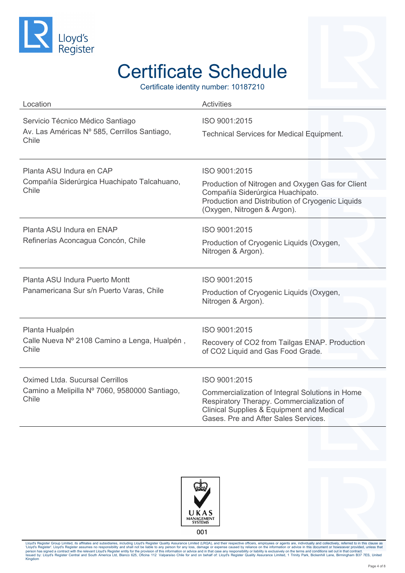

Certificate identity number: 10187210

| Location                                                                                  | <b>Activities</b>                                                                                                                                                                                             |
|-------------------------------------------------------------------------------------------|---------------------------------------------------------------------------------------------------------------------------------------------------------------------------------------------------------------|
| Servicio Técnico Médico Santiago<br>Av. Las Américas Nº 585, Cerrillos Santiago,<br>Chile | ISO 9001:2015<br><b>Technical Services for Medical Equipment.</b>                                                                                                                                             |
| Planta ASU Indura en CAP<br>Compañía Siderúrgica Huachipato Talcahuano,<br>Chile          | ISO 9001:2015<br>Production of Nitrogen and Oxygen Gas for Client<br>Compañía Siderúrgica Huachipato.<br>Production and Distribution of Cryogenic Liquids<br>(Oxygen, Nitrogen & Argon).                      |
| Planta ASU Indura en ENAP<br>Refinerías Aconcagua Concón, Chile                           | ISO 9001:2015<br>Production of Cryogenic Liquids (Oxygen,<br>Nitrogen & Argon).                                                                                                                               |
| Planta ASU Indura Puerto Montt<br>Panamericana Sur s/n Puerto Varas, Chile                | ISO 9001:2015<br>Production of Cryogenic Liquids (Oxygen,<br>Nitrogen & Argon).                                                                                                                               |
| Planta Hualpén<br>Calle Nueva Nº 2108 Camino a Lenga, Hualpén,<br>Chile                   | ISO 9001:2015<br>Recovery of CO2 from Tailgas ENAP. Production<br>of CO2 Liquid and Gas Food Grade.                                                                                                           |
| Oximed Ltda, Sucursal Cerrillos<br>Camino a Melipilla Nº 7060, 9580000 Santiago,<br>Chile | ISO 9001:2015<br>Commercialization of Integral Solutions in Home<br>Respiratory Therapy. Commercialization of<br><b>Clinical Supplies &amp; Equipment and Medical</b><br>Gases. Pre and After Sales Services. |





001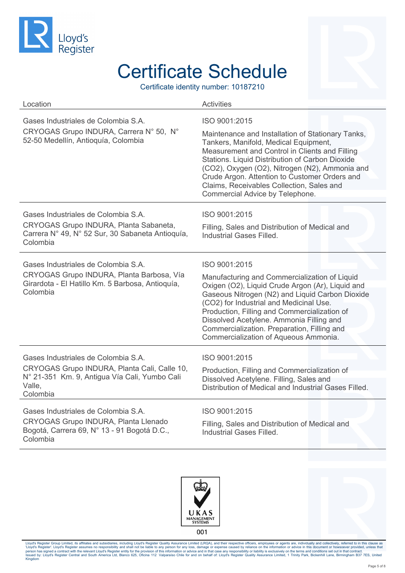

Certificate identity number: 10187210

| Location                                                                                                                                                   | <b>Activities</b>                                                                                                                                                                                                                                                                                                                                                                                    |
|------------------------------------------------------------------------------------------------------------------------------------------------------------|------------------------------------------------------------------------------------------------------------------------------------------------------------------------------------------------------------------------------------------------------------------------------------------------------------------------------------------------------------------------------------------------------|
| Gases Industriales de Colombia S.A.<br>CRYOGAS Grupo INDURA, Carrera Nº 50, Nº<br>52-50 Medellín, Antioquía, Colombia                                      | ISO 9001:2015<br>Maintenance and Installation of Stationary Tanks,<br>Tankers, Manifold, Medical Equipment,<br>Measurement and Control in Clients and Filling<br>Stations. Liquid Distribution of Carbon Dioxide<br>(CO2), Oxygen (O2), Nitrogen (N2), Ammonia and<br>Crude Argon. Attention to Customer Orders and<br>Claims, Receivables Collection, Sales and<br>Commercial Advice by Telephone.  |
| Gases Industriales de Colombia S.A.<br>CRYOGAS Grupo INDURA, Planta Sabaneta,<br>Carrera Nº 49, Nº 52 Sur, 30 Sabaneta Antioquía,<br>Colombia              | ISO 9001:2015<br>Filling, Sales and Distribution of Medical and<br>Industrial Gases Filled.                                                                                                                                                                                                                                                                                                          |
| Gases Industriales de Colombia S.A.<br>CRYOGAS Grupo INDURA, Planta Barbosa, Vía<br>Girardota - El Hatillo Km. 5 Barbosa, Antioquía,<br>Colombia           | ISO 9001:2015<br>Manufacturing and Commercialization of Liquid<br>Oxigen (O2), Liquid Crude Argon (Ar), Liquid and<br>Gaseous Nitrogen (N2) and Liquid Carbon Dioxide<br>(CO2) for Industrial and Medicinal Use.<br>Production, Filling and Commercialization of<br>Dissolved Acetylene. Ammonia Filling and<br>Commercialization. Preparation, Filling and<br>Commercialization of Aqueous Ammonia. |
| Gases Industriales de Colombia S.A.<br>CRYOGAS Grupo INDURA, Planta Cali, Calle 10,<br>N° 21-351 Km. 9, Antigua Vía Cali, Yumbo Cali<br>Valle,<br>Colombia | ISO 9001:2015<br>Production, Filling and Commercialization of<br>Dissolved Acetylene. Filling, Sales and<br>Distribution of Medical and Industrial Gases Filled.                                                                                                                                                                                                                                     |
| Gases Industriales de Colombia S.A.<br><b>CRYOGAS Grupo INDURA, Planta Llenado</b><br>Bogotá, Carrera 69, N° 13 - 91 Bogotá D.C.,<br>Colombia              | ISO 9001:2015<br>Filling, Sales and Distribution of Medical and<br>Industrial Gases Filled.                                                                                                                                                                                                                                                                                                          |





001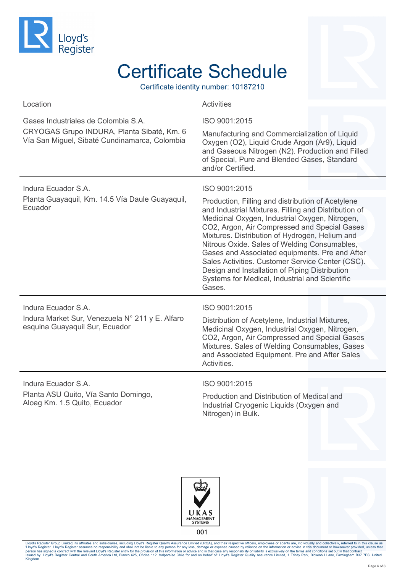

Certificate identity number: 10187210

| Location                                                                                                                           | <b>Activities</b>                                                                                                                                                                                                                                                                                                                                                                                                                                                                                                                                  |
|------------------------------------------------------------------------------------------------------------------------------------|----------------------------------------------------------------------------------------------------------------------------------------------------------------------------------------------------------------------------------------------------------------------------------------------------------------------------------------------------------------------------------------------------------------------------------------------------------------------------------------------------------------------------------------------------|
| Gases Industriales de Colombia S.A.<br>CRYOGAS Grupo INDURA, Planta Sibaté, Km. 6<br>Vía San Miguel, Sibaté Cundinamarca, Colombia | ISO 9001:2015<br>Manufacturing and Commercialization of Liquid<br>Oxygen (O2), Liquid Crude Argon (Ar9), Liquid<br>and Gaseous Nitrogen (N2). Production and Filled<br>of Special, Pure and Blended Gases, Standard<br>and/or Certified.                                                                                                                                                                                                                                                                                                           |
| Indura Ecuador S.A.<br>Planta Guayaquil, Km. 14.5 Vía Daule Guayaquil,<br>Ecuador                                                  | ISO 9001:2015<br>Production, Filling and distribution of Acetylene<br>and Industrial Mixtures. Filling and Distribution of<br>Medicinal Oxygen, Industrial Oxygen, Nitrogen,<br>CO2, Argon, Air Compressed and Special Gases<br>Mixtures. Distribution of Hydrogen, Helium and<br>Nitrous Oxide. Sales of Welding Consumables,<br>Gases and Associated equipments. Pre and After<br>Sales Activities. Customer Service Center (CSC).<br>Design and Installation of Piping Distribution<br>Systems for Medical, Industrial and Scientific<br>Gases. |
| Indura Ecuador S.A.<br>Indura Market Sur, Venezuela N° 211 y E. Alfaro<br>esquina Guayaquil Sur, Ecuador                           | ISO 9001:2015<br>Distribution of Acetylene, Industrial Mixtures,<br>Medicinal Oxygen, Industrial Oxygen, Nitrogen,<br>CO2, Argon, Air Compressed and Special Gases<br>Mixtures. Sales of Welding Consumables, Gases<br>and Associated Equipment. Pre and After Sales<br>Activities.                                                                                                                                                                                                                                                                |
| Indura Ecuador S.A.<br>Planta ASU Quito, Vía Santo Domingo,<br>Aloag Km. 1.5 Quito, Ecuador                                        | ISO 9001:2015<br>Production and Distribution of Medical and<br>Industrial Cryogenic Liquids (Oxygen and<br>Nitrogen) in Bulk.                                                                                                                                                                                                                                                                                                                                                                                                                      |





001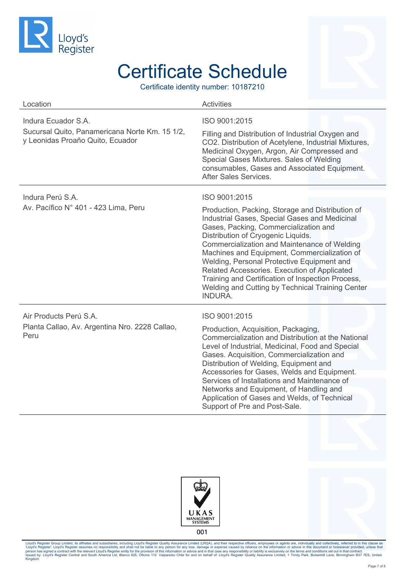

Certificate identity number: 10187210

| Location                                                                                                  | <b>Activities</b>                                                                                                                                                                                                                                                                                                                                                                                                                                                                                                          |
|-----------------------------------------------------------------------------------------------------------|----------------------------------------------------------------------------------------------------------------------------------------------------------------------------------------------------------------------------------------------------------------------------------------------------------------------------------------------------------------------------------------------------------------------------------------------------------------------------------------------------------------------------|
| Indura Ecuador S.A.<br>Sucursal Quito, Panamericana Norte Km. 15 1/2,<br>y Leonidas Proaño Quito, Ecuador | ISO 9001:2015<br>Filling and Distribution of Industrial Oxygen and<br>CO2. Distribution of Acetylene, Industrial Mixtures,<br>Medicinal Oxygen, Argon, Air Compressed and<br>Special Gases Mixtures. Sales of Welding<br>consumables, Gases and Associated Equipment.<br>After Sales Services.                                                                                                                                                                                                                             |
| Indura Perú S.A.<br>Av. Pacífico Nº 401 - 423 Lima, Peru                                                  | ISO 9001:2015<br>Production, Packing, Storage and Distribution of<br>Industrial Gases, Special Gases and Medicinal<br>Gases, Packing, Commercialization and<br>Distribution of Cryogenic Liquids.<br>Commercialization and Maintenance of Welding<br>Machines and Equipment, Commercialization of<br>Welding, Personal Protective Equipment and<br>Related Accessories. Execution of Applicated<br>Training and Certification of Inspection Process,<br>Welding and Cutting by Technical Training Center<br><b>INDURA.</b> |
| Air Products Perú S.A.<br>Planta Callao, Av. Argentina Nro. 2228 Callao,<br>Peru                          | ISO 9001:2015<br>Production, Acquisition, Packaging,<br>Commercialization and Distribution at the National<br>Level of Industrial, Medicinal, Food and Special<br>Gases. Acquisition, Commercialization and<br>Distribution of Welding, Equipment and<br>Accessories for Gases, Welds and Equipment.<br>Services of Installations and Maintenance of<br>Networks and Equipment, of Handling and<br>Application of Gases and Welds, of Technical<br>Support of Pre and Post-Sale.                                           |





001